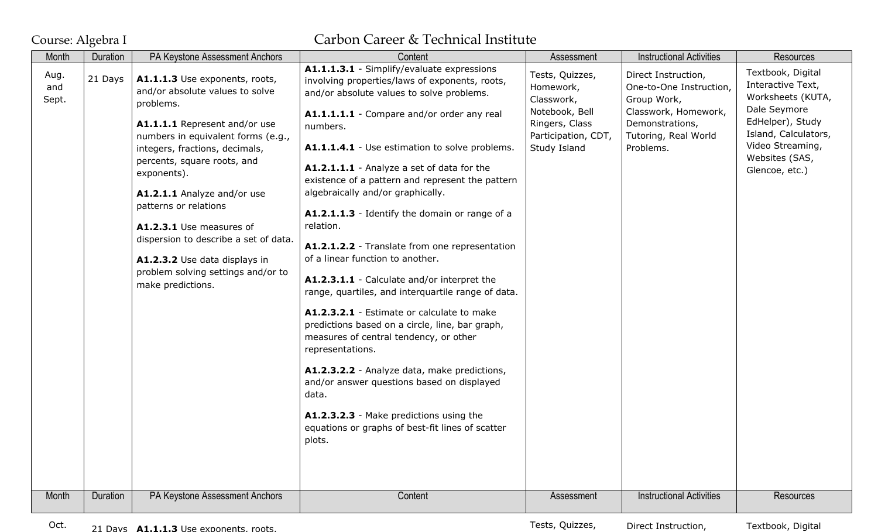## Course: Algebra I Carbon Career & Technical Institute

| Month                | Duration | PA Keystone Assessment Anchors                                                                                                                                                                                                                                                                                                                                                                                                                                 | Content                                                                                                                                                                                                                                                                                                                                                                                                                                                                                                                                                                                                                                                                                                                                                                                                                                                                                                                                                                                                                               | Assessment                                                                                                            | <b>Instructional Activities</b>                                                                                                               | <b>Resources</b>                                                                                                                                                                |
|----------------------|----------|----------------------------------------------------------------------------------------------------------------------------------------------------------------------------------------------------------------------------------------------------------------------------------------------------------------------------------------------------------------------------------------------------------------------------------------------------------------|---------------------------------------------------------------------------------------------------------------------------------------------------------------------------------------------------------------------------------------------------------------------------------------------------------------------------------------------------------------------------------------------------------------------------------------------------------------------------------------------------------------------------------------------------------------------------------------------------------------------------------------------------------------------------------------------------------------------------------------------------------------------------------------------------------------------------------------------------------------------------------------------------------------------------------------------------------------------------------------------------------------------------------------|-----------------------------------------------------------------------------------------------------------------------|-----------------------------------------------------------------------------------------------------------------------------------------------|---------------------------------------------------------------------------------------------------------------------------------------------------------------------------------|
| Aug.<br>and<br>Sept. | 21 Days  | A1.1.1.3 Use exponents, roots,<br>and/or absolute values to solve<br>problems.<br>A1.1.1.1 Represent and/or use<br>numbers in equivalent forms (e.g.,<br>integers, fractions, decimals,<br>percents, square roots, and<br>exponents).<br>A1.2.1.1 Analyze and/or use<br>patterns or relations<br>A1.2.3.1 Use measures of<br>dispersion to describe a set of data.<br>A1.2.3.2 Use data displays in<br>problem solving settings and/or to<br>make predictions. | A1.1.1.3.1 - Simplify/evaluate expressions<br>involving properties/laws of exponents, roots,<br>and/or absolute values to solve problems.<br>A1.1.1.1.1 - Compare and/or order any real<br>numbers.<br>A1.1.1.4.1 - Use estimation to solve problems.<br>A1.2.1.1.1 - Analyze a set of data for the<br>existence of a pattern and represent the pattern<br>algebraically and/or graphically.<br>A1.2.1.1.3 - Identify the domain or range of a<br>relation.<br>A1.2.1.2.2 - Translate from one representation<br>of a linear function to another.<br>A1.2.3.1.1 - Calculate and/or interpret the<br>range, quartiles, and interquartile range of data.<br>A1.2.3.2.1 - Estimate or calculate to make<br>predictions based on a circle, line, bar graph,<br>measures of central tendency, or other<br>representations.<br>A1.2.3.2.2 - Analyze data, make predictions,<br>and/or answer questions based on displayed<br>data.<br>A1.2.3.2.3 - Make predictions using the<br>equations or graphs of best-fit lines of scatter<br>plots. | Tests, Quizzes,<br>Homework,<br>Classwork,<br>Notebook, Bell<br>Ringers, Class<br>Participation, CDT,<br>Study Island | Direct Instruction,<br>One-to-One Instruction,<br>Group Work,<br>Classwork, Homework,<br>Demonstrations,<br>Tutoring, Real World<br>Problems. | Textbook, Digital<br>Interactive Text,<br>Worksheets (KUTA,<br>Dale Seymore<br>EdHelper), Study<br>Island, Calculators,<br>Video Streaming,<br>Websites (SAS,<br>Glencoe, etc.) |
| Month                | Duration | PA Keystone Assessment Anchors                                                                                                                                                                                                                                                                                                                                                                                                                                 | Content                                                                                                                                                                                                                                                                                                                                                                                                                                                                                                                                                                                                                                                                                                                                                                                                                                                                                                                                                                                                                               | Assessment                                                                                                            | <b>Instructional Activities</b>                                                                                                               | <b>Resources</b>                                                                                                                                                                |

Direct Instruction,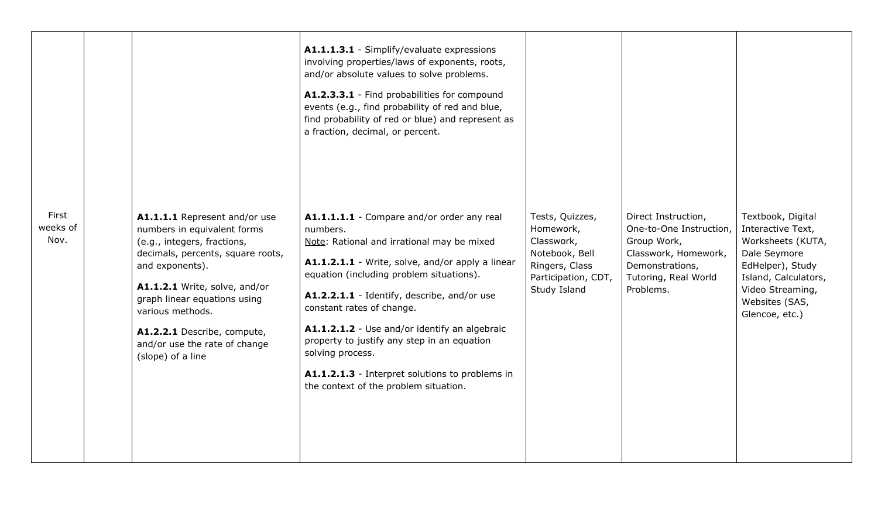|                           |                                                                                                                                                                                                                                                                                                                               | A1.1.1.3.1 - Simplify/evaluate expressions<br>involving properties/laws of exponents, roots,<br>and/or absolute values to solve problems.<br>A1.2.3.3.1 - Find probabilities for compound<br>events (e.g., find probability of red and blue,<br>find probability of red or blue) and represent as<br>a fraction, decimal, or percent.                                                                                                                                                            |                                                                                                                       |                                                                                                                                               |                                                                                                                                                                                 |
|---------------------------|-------------------------------------------------------------------------------------------------------------------------------------------------------------------------------------------------------------------------------------------------------------------------------------------------------------------------------|--------------------------------------------------------------------------------------------------------------------------------------------------------------------------------------------------------------------------------------------------------------------------------------------------------------------------------------------------------------------------------------------------------------------------------------------------------------------------------------------------|-----------------------------------------------------------------------------------------------------------------------|-----------------------------------------------------------------------------------------------------------------------------------------------|---------------------------------------------------------------------------------------------------------------------------------------------------------------------------------|
| First<br>weeks of<br>Nov. | A1.1.1.1 Represent and/or use<br>numbers in equivalent forms<br>(e.g., integers, fractions,<br>decimals, percents, square roots,<br>and exponents).<br>A1.1.2.1 Write, solve, and/or<br>graph linear equations using<br>various methods.<br>A1.2.2.1 Describe, compute,<br>and/or use the rate of change<br>(slope) of a line | A1.1.1.1.1 - Compare and/or order any real<br>numbers.<br>Note: Rational and irrational may be mixed<br>A1.1.2.1.1 - Write, solve, and/or apply a linear<br>equation (including problem situations).<br>A1.2.2.1.1 - Identify, describe, and/or use<br>constant rates of change.<br>A1.1.2.1.2 - Use and/or identify an algebraic<br>property to justify any step in an equation<br>solving process.<br>A1.1.2.1.3 - Interpret solutions to problems in<br>the context of the problem situation. | Tests, Quizzes,<br>Homework,<br>Classwork,<br>Notebook, Bell<br>Ringers, Class<br>Participation, CDT,<br>Study Island | Direct Instruction,<br>One-to-One Instruction,<br>Group Work,<br>Classwork, Homework,<br>Demonstrations,<br>Tutoring, Real World<br>Problems. | Textbook, Digital<br>Interactive Text,<br>Worksheets (KUTA,<br>Dale Seymore<br>EdHelper), Study<br>Island, Calculators,<br>Video Streaming,<br>Websites (SAS,<br>Glencoe, etc.) |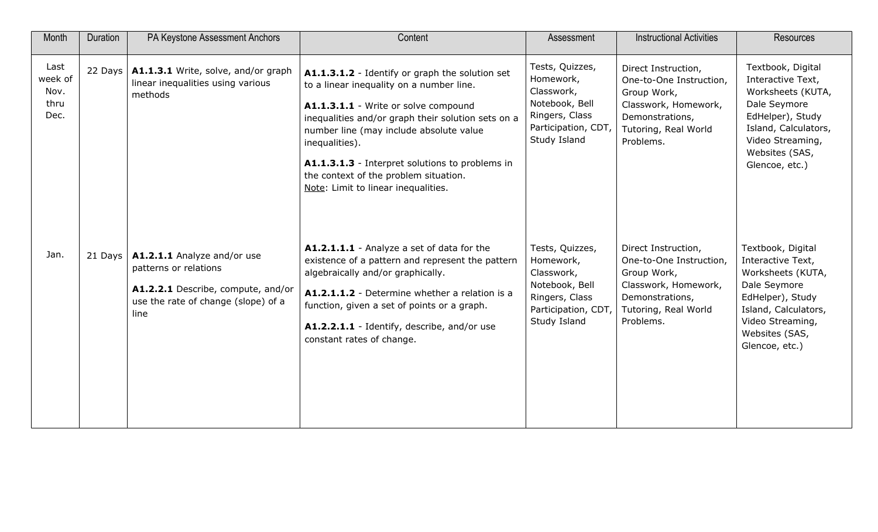| Month                                   | Duration  | PA Keystone Assessment Anchors                                                                                                            | Content                                                                                                                                                                                                                                                                                                                                                                                   | Assessment                                                                                                            | <b>Instructional Activities</b>                                                                                                               | <b>Resources</b>                                                                                                                                                                |
|-----------------------------------------|-----------|-------------------------------------------------------------------------------------------------------------------------------------------|-------------------------------------------------------------------------------------------------------------------------------------------------------------------------------------------------------------------------------------------------------------------------------------------------------------------------------------------------------------------------------------------|-----------------------------------------------------------------------------------------------------------------------|-----------------------------------------------------------------------------------------------------------------------------------------------|---------------------------------------------------------------------------------------------------------------------------------------------------------------------------------|
| Last<br>week of<br>Nov.<br>thru<br>Dec. |           | 22 Days   $A1.1.3.1$ Write, solve, and/or graph<br>linear inequalities using various<br>methods                                           | A1.1.3.1.2 - Identify or graph the solution set<br>to a linear inequality on a number line.<br>A1.1.3.1.1 - Write or solve compound<br>inequalities and/or graph their solution sets on a<br>number line (may include absolute value<br>inequalities).<br>A1.1.3.1.3 - Interpret solutions to problems in<br>the context of the problem situation.<br>Note: Limit to linear inequalities. | Tests, Quizzes,<br>Homework,<br>Classwork,<br>Notebook, Bell<br>Ringers, Class<br>Participation, CDT,<br>Study Island | Direct Instruction,<br>One-to-One Instruction,<br>Group Work,<br>Classwork, Homework,<br>Demonstrations,<br>Tutoring, Real World<br>Problems. | Textbook, Digital<br>Interactive Text,<br>Worksheets (KUTA,<br>Dale Seymore<br>EdHelper), Study<br>Island, Calculators,<br>Video Streaming,<br>Websites (SAS,<br>Glencoe, etc.) |
| Jan.                                    | $21$ Days | A1.2.1.1 Analyze and/or use<br>patterns or relations<br>A1.2.2.1 Describe, compute, and/or<br>use the rate of change (slope) of a<br>line | A1.2.1.1.1 - Analyze a set of data for the<br>existence of a pattern and represent the pattern<br>algebraically and/or graphically.<br>A1.2.1.1.2 - Determine whether a relation is a<br>function, given a set of points or a graph.<br>A1.2.2.1.1 - Identify, describe, and/or use<br>constant rates of change.                                                                          | Tests, Quizzes,<br>Homework,<br>Classwork,<br>Notebook, Bell<br>Ringers, Class<br>Participation, CDT,<br>Study Island | Direct Instruction,<br>One-to-One Instruction,<br>Group Work,<br>Classwork, Homework,<br>Demonstrations,<br>Tutoring, Real World<br>Problems. | Textbook, Digital<br>Interactive Text,<br>Worksheets (KUTA,<br>Dale Seymore<br>EdHelper), Study<br>Island, Calculators,<br>Video Streaming,<br>Websites (SAS,<br>Glencoe, etc.) |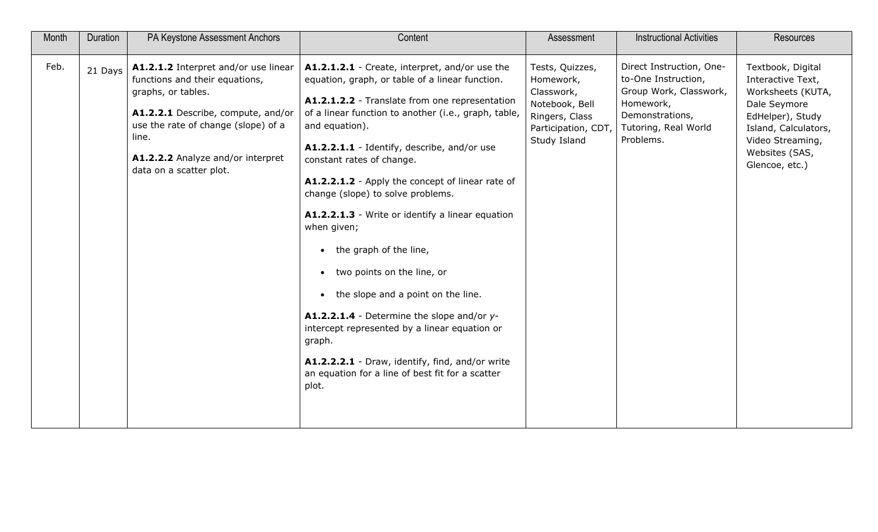| Month | Duration | PA Keystone Assessment Anchors                                                                                                                                                                                                                     | Content                                                                                                                                                                                                                                                                                                                                                                                                                                                                                                                                                                                                                                                                                                                                                                                                                | Assessment                                                                                                            | <b>Instructional Activities</b>                                                                                                                | <b>Resources</b>                                                                                                                                                                |
|-------|----------|----------------------------------------------------------------------------------------------------------------------------------------------------------------------------------------------------------------------------------------------------|------------------------------------------------------------------------------------------------------------------------------------------------------------------------------------------------------------------------------------------------------------------------------------------------------------------------------------------------------------------------------------------------------------------------------------------------------------------------------------------------------------------------------------------------------------------------------------------------------------------------------------------------------------------------------------------------------------------------------------------------------------------------------------------------------------------------|-----------------------------------------------------------------------------------------------------------------------|------------------------------------------------------------------------------------------------------------------------------------------------|---------------------------------------------------------------------------------------------------------------------------------------------------------------------------------|
| Feb.  | 21 Days  | A1.2.1.2 Interpret and/or use linear<br>functions and their equations,<br>graphs, or tables.<br>A1.2.2.1 Describe, compute, and/or<br>use the rate of change (slope) of a<br>line.<br>A1.2.2.2 Analyze and/or interpret<br>data on a scatter plot. | A1.2.1.2.1 - Create, interpret, and/or use the<br>equation, graph, or table of a linear function.<br>A1.2.1.2.2 - Translate from one representation<br>of a linear function to another (i.e., graph, table,<br>and equation).<br>A1.2.2.1.1 - Identify, describe, and/or use<br>constant rates of change.<br>A1.2.2.1.2 - Apply the concept of linear rate of<br>change (slope) to solve problems.<br>A1.2.2.1.3 - Write or identify a linear equation<br>when given;<br>the graph of the line,<br>two points on the line, or<br>$\bullet$<br>the slope and a point on the line.<br>$\bullet$<br>A1.2.2.1.4 - Determine the slope and/or y-<br>intercept represented by a linear equation or<br>graph.<br>A1.2.2.2.1 - Draw, identify, find, and/or write<br>an equation for a line of best fit for a scatter<br>plot. | Tests, Quizzes,<br>Homework,<br>Classwork,<br>Notebook, Bell<br>Ringers, Class<br>Participation, CDT,<br>Study Island | Direct Instruction, One-<br>to-One Instruction,<br>Group Work, Classwork,<br>Homework,<br>Demonstrations,<br>Tutoring, Real World<br>Problems. | Textbook, Digital<br>Interactive Text,<br>Worksheets (KUTA,<br>Dale Seymore<br>EdHelper), Study<br>Island, Calculators,<br>Video Streaming,<br>Websites (SAS,<br>Glencoe, etc.) |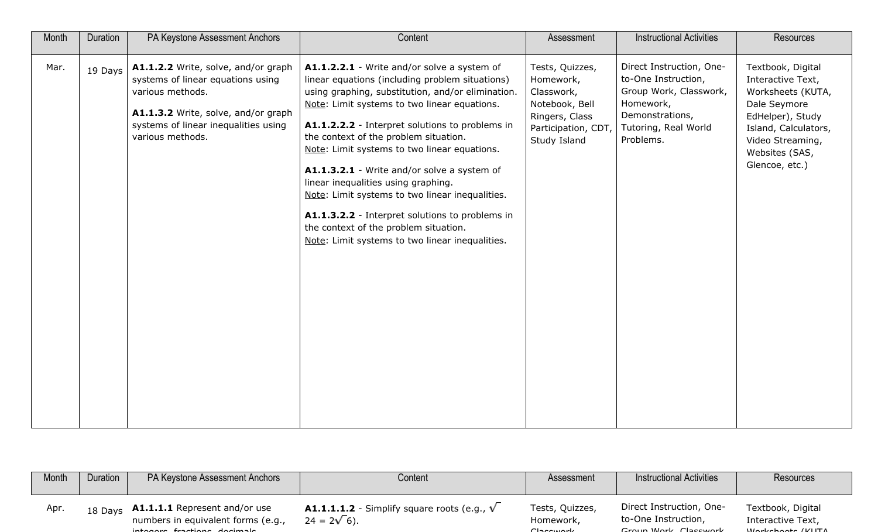| Month | Duration | PA Keystone Assessment Anchors                                                                                                                                                                  | Content                                                                                                                                                                                                                                                                                                                                                                                                                                                                                                                                                                                                                                 | Assessment                                                                                                            | <b>Instructional Activities</b>                                                                                                                | <b>Resources</b>                                                                                                                                                                |
|-------|----------|-------------------------------------------------------------------------------------------------------------------------------------------------------------------------------------------------|-----------------------------------------------------------------------------------------------------------------------------------------------------------------------------------------------------------------------------------------------------------------------------------------------------------------------------------------------------------------------------------------------------------------------------------------------------------------------------------------------------------------------------------------------------------------------------------------------------------------------------------------|-----------------------------------------------------------------------------------------------------------------------|------------------------------------------------------------------------------------------------------------------------------------------------|---------------------------------------------------------------------------------------------------------------------------------------------------------------------------------|
| Mar.  | 19 Days  | A1.1.2.2 Write, solve, and/or graph<br>systems of linear equations using<br>various methods.<br>A1.1.3.2 Write, solve, and/or graph<br>systems of linear inequalities using<br>various methods. | A1.1.2.2.1 - Write and/or solve a system of<br>linear equations (including problem situations)<br>using graphing, substitution, and/or elimination.<br>Note: Limit systems to two linear equations.<br>A1.1.2.2.2 - Interpret solutions to problems in<br>the context of the problem situation.<br>Note: Limit systems to two linear equations.<br>A1.1.3.2.1 - Write and/or solve a system of<br>linear inequalities using graphing.<br>Note: Limit systems to two linear inequalities.<br>A1.1.3.2.2 - Interpret solutions to problems in<br>the context of the problem situation.<br>Note: Limit systems to two linear inequalities. | Tests, Quizzes,<br>Homework,<br>Classwork,<br>Notebook, Bell<br>Ringers, Class<br>Participation, CDT,<br>Study Island | Direct Instruction, One-<br>to-One Instruction,<br>Group Work, Classwork,<br>Homework,<br>Demonstrations,<br>Tutoring, Real World<br>Problems. | Textbook, Digital<br>Interactive Text,<br>Worksheets (KUTA,<br>Dale Seymore<br>EdHelper), Study<br>Island, Calculators,<br>Video Streaming,<br>Websites (SAS,<br>Glencoe, etc.) |

| Month | Duration | PA Keystone Assessment Anchors                                                                             | Content                                                                    | Assessment                                    | <b>Instructional Activities</b>                                         | Resources                                                        |
|-------|----------|------------------------------------------------------------------------------------------------------------|----------------------------------------------------------------------------|-----------------------------------------------|-------------------------------------------------------------------------|------------------------------------------------------------------|
| Apr   | 18 Days  | <b>A1.1.1.1</b> Represent and/or use<br>numbers in equivalent forms (e.g.,<br>interesse fractiona decimada | <b>A1.1.1.1.2</b> - Simplify square roots (e.g., $V$<br>$24 = 2\sqrt{6}$ . | Tests, Quizzes,<br>Homework,<br>عامون بموجدات | Direct Instruction, One-<br>to-One Instruction,<br>Croup Work Claccwork | Textbook, Digital<br>Interactive Text,<br>$MLsubchach$ $(LU1TA)$ |